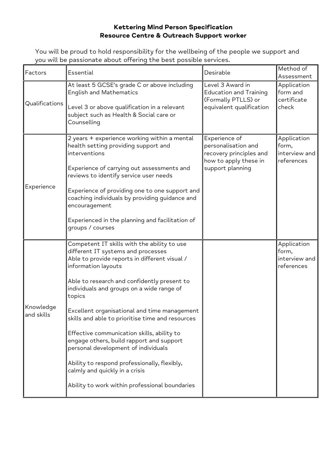## **Kettering Mind Person Specification Resource Centre & Outreach Support worker**

You will be proud to hold responsibility for the wellbeing of the people we support and you will be passionate about offering the best possible services.

| Factors                 | Essential                                                                                                                                                                                                                                                                                                                                                                                                                                                                                                                                                                                                                                | Desirable                                                                                                    | Method of<br>Assessment                             |
|-------------------------|------------------------------------------------------------------------------------------------------------------------------------------------------------------------------------------------------------------------------------------------------------------------------------------------------------------------------------------------------------------------------------------------------------------------------------------------------------------------------------------------------------------------------------------------------------------------------------------------------------------------------------------|--------------------------------------------------------------------------------------------------------------|-----------------------------------------------------|
| Qualifications          | At least 5 GCSE's grade C or above including<br><b>English and Mathematics</b><br>Level 3 or above qualification in a relevant<br>subject such as Health & Social care or<br>Counselling                                                                                                                                                                                                                                                                                                                                                                                                                                                 | Level 3 Award in<br><b>Education and Training</b><br>(Formally PTLLS) or<br>equivalent qualification         | Application<br>form and<br>certificate<br>check     |
| Experience              | 2 years + experience working within a mental<br>health setting providing support and<br>interventions<br>Experience of carrying out assessments and<br>reviews to identify service user needs<br>Experience of providing one to one support and<br>coaching individuals by providing guidance and<br>encouragement<br>Experienced in the planning and facilitation of<br>groups / courses                                                                                                                                                                                                                                                | Experience of<br>personalisation and<br>recovery principles and<br>how to apply these in<br>support planning | Application<br>form,<br>interview and<br>references |
| Knowledge<br>and skills | Competent IT skills with the ability to use<br>different IT systems and processes<br>Able to provide reports in different visual /<br>information layouts<br>Able to research and confidently present to<br>individuals and groups on a wide range of<br>topics<br>Excellent organisational and time management<br>skills and able to prioritise time and resources<br>Effective communication skills, ability to<br>engage others, build rapport and support<br>personal development of individuals<br>Ability to respond professionally, flexibly,<br>calmly and quickly in a crisis<br>Ability to work within professional boundaries |                                                                                                              | Application<br>form,<br>interview and<br>references |